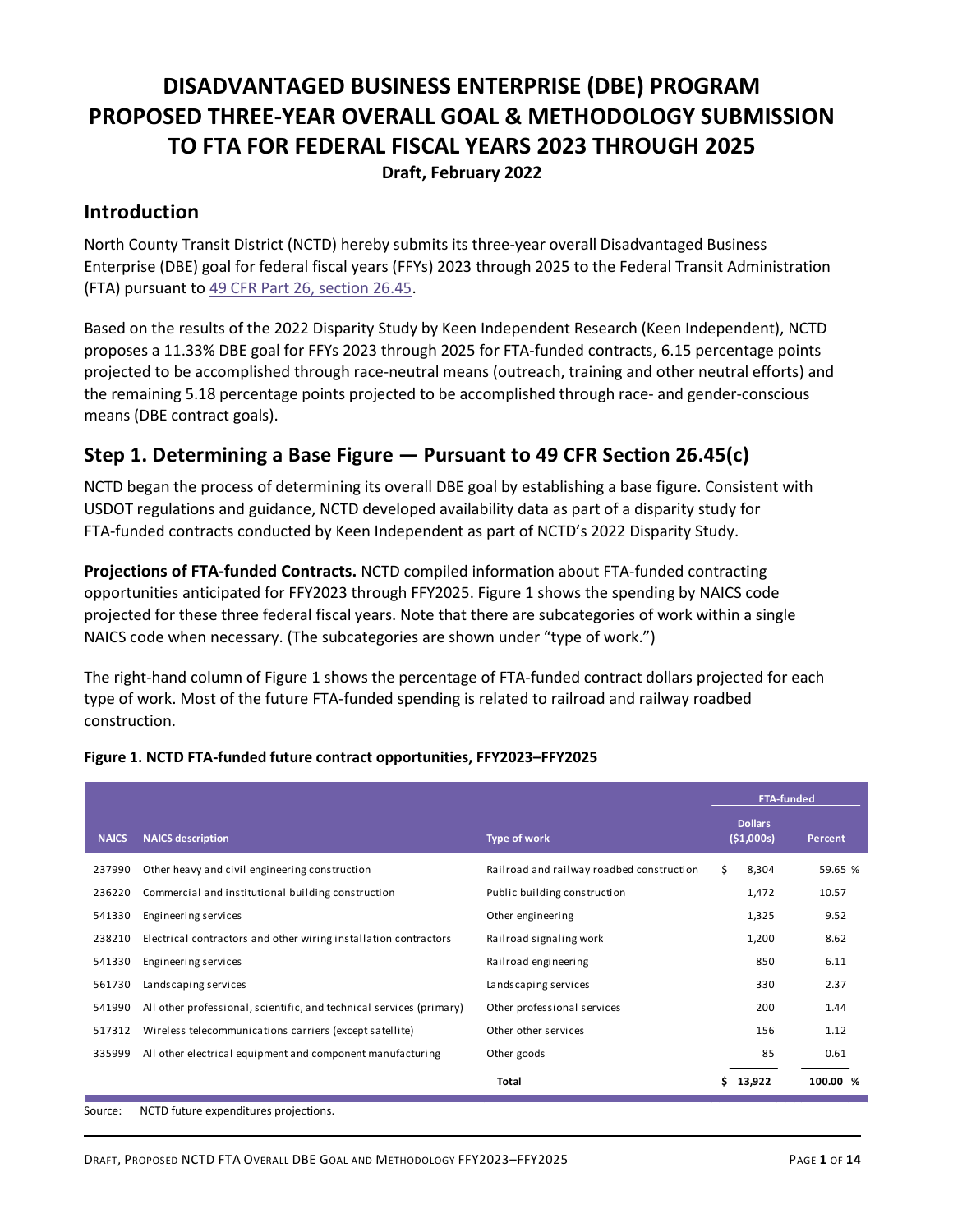# DISADVANTAGED BUSINESS ENTERPRISE (DBE) PROGRAM PROPOSED THREE-YEAR OVERALL GOAL & METHODOLOGY SUBMISSION TO FTA FOR FEDERAL FISCAL YEARS 2023 THROUGH 2025 Draft, February 2022

### Introduction

North County Transit District (NCTD) hereby submits its three-year overall Disadvantaged Business Enterprise (DBE) goal for federal fiscal years (FFYs) 2023 through 2025 to the Federal Transit Administration (FTA) pursuant to 49 CFR Part 26, section 26.45.

Based on the results of the 2022 Disparity Study by Keen Independent Research (Keen Independent), NCTD proposes a 11.33% DBE goal for FFYs 2023 through 2025 for FTA-funded contracts, 6.15 percentage points projected to be accomplished through race-neutral means (outreach, training and other neutral efforts) and the remaining 5.18 percentage points projected to be accomplished through race- and gender-conscious means (DBE contract goals).

### Step 1. Determining a Base Figure — Pursuant to 49 CFR Section 26.45(c)

| NCTD began the process of determining its overall DBE goal by establishing a base figure. Consistent with<br>USDOT regulations and guidance, NCTD developed availability data as part of a disparity study for<br>FTA-funded contracts conducted by Keen Independent as part of NCTD's 2022 Disparity Study.<br>Projections of FTA-funded Contracts. NCTD compiled information about FTA-funded contracting<br>opportunities anticipated for FFY2023 through FFY2025. Figure 1 shows the spending by NAICS code<br>projected for these three federal fiscal years. Note that there are subcategories of work within a single<br>NAICS code when necessary. (The subcategories are shown under "type of work.")<br>The right-hand column of Figure 1 shows the percentage of FTA-funded contract dollars projected for each<br>type of work. Most of the future FTA-funded spending is related to railroad and railway roadbed<br>construction.<br>Figure 1. NCTD FTA-funded future contract opportunities, FFY2023-FFY2025<br><b>FTA-funded</b><br><b>Dollars</b><br><b>Type of work</b><br>( \$1,000s)<br><b>NAICS description</b><br><b>NAICS</b><br>Percent<br>Railroad and railway roadbed construction<br>237990<br>Other heavy and civil engineering construction<br>Ŝ.<br>8,304<br>236220<br>Commercial and institutional building construction<br>Public building construction<br>1,472<br>10.57<br>9.52<br>541330<br>Engineering services<br>Other engineering<br>1,325<br>Electrical contractors and other wiring installation contractors<br>Railroad signaling work<br>1,200<br>8.62<br>238210<br>Engineering services<br>Railroad engineering<br>850<br>6.11<br>541330<br>Landscaping services<br>Landscaping services<br>330<br>2.37<br>561730<br>Other professional services<br>541990<br>All other professional, scientific, and technical services (primary)<br>200<br>1.44 | Step 1. Determining a Base Figure $-$ Pursuant to 49 CFR Section 26.45(c) |  |          |  |  |
|----------------------------------------------------------------------------------------------------------------------------------------------------------------------------------------------------------------------------------------------------------------------------------------------------------------------------------------------------------------------------------------------------------------------------------------------------------------------------------------------------------------------------------------------------------------------------------------------------------------------------------------------------------------------------------------------------------------------------------------------------------------------------------------------------------------------------------------------------------------------------------------------------------------------------------------------------------------------------------------------------------------------------------------------------------------------------------------------------------------------------------------------------------------------------------------------------------------------------------------------------------------------------------------------------------------------------------------------------------------------------------------------------------------------------------------------------------------------------------------------------------------------------------------------------------------------------------------------------------------------------------------------------------------------------------------------------------------------------------------------------------------------------------------------------------------------------------------------------------------------------------------------|---------------------------------------------------------------------------|--|----------|--|--|
|                                                                                                                                                                                                                                                                                                                                                                                                                                                                                                                                                                                                                                                                                                                                                                                                                                                                                                                                                                                                                                                                                                                                                                                                                                                                                                                                                                                                                                                                                                                                                                                                                                                                                                                                                                                                                                                                                              |                                                                           |  |          |  |  |
|                                                                                                                                                                                                                                                                                                                                                                                                                                                                                                                                                                                                                                                                                                                                                                                                                                                                                                                                                                                                                                                                                                                                                                                                                                                                                                                                                                                                                                                                                                                                                                                                                                                                                                                                                                                                                                                                                              |                                                                           |  |          |  |  |
|                                                                                                                                                                                                                                                                                                                                                                                                                                                                                                                                                                                                                                                                                                                                                                                                                                                                                                                                                                                                                                                                                                                                                                                                                                                                                                                                                                                                                                                                                                                                                                                                                                                                                                                                                                                                                                                                                              |                                                                           |  |          |  |  |
|                                                                                                                                                                                                                                                                                                                                                                                                                                                                                                                                                                                                                                                                                                                                                                                                                                                                                                                                                                                                                                                                                                                                                                                                                                                                                                                                                                                                                                                                                                                                                                                                                                                                                                                                                                                                                                                                                              |                                                                           |  |          |  |  |
|                                                                                                                                                                                                                                                                                                                                                                                                                                                                                                                                                                                                                                                                                                                                                                                                                                                                                                                                                                                                                                                                                                                                                                                                                                                                                                                                                                                                                                                                                                                                                                                                                                                                                                                                                                                                                                                                                              |                                                                           |  |          |  |  |
|                                                                                                                                                                                                                                                                                                                                                                                                                                                                                                                                                                                                                                                                                                                                                                                                                                                                                                                                                                                                                                                                                                                                                                                                                                                                                                                                                                                                                                                                                                                                                                                                                                                                                                                                                                                                                                                                                              |                                                                           |  |          |  |  |
|                                                                                                                                                                                                                                                                                                                                                                                                                                                                                                                                                                                                                                                                                                                                                                                                                                                                                                                                                                                                                                                                                                                                                                                                                                                                                                                                                                                                                                                                                                                                                                                                                                                                                                                                                                                                                                                                                              |                                                                           |  | 59.65 %  |  |  |
|                                                                                                                                                                                                                                                                                                                                                                                                                                                                                                                                                                                                                                                                                                                                                                                                                                                                                                                                                                                                                                                                                                                                                                                                                                                                                                                                                                                                                                                                                                                                                                                                                                                                                                                                                                                                                                                                                              |                                                                           |  |          |  |  |
|                                                                                                                                                                                                                                                                                                                                                                                                                                                                                                                                                                                                                                                                                                                                                                                                                                                                                                                                                                                                                                                                                                                                                                                                                                                                                                                                                                                                                                                                                                                                                                                                                                                                                                                                                                                                                                                                                              |                                                                           |  |          |  |  |
|                                                                                                                                                                                                                                                                                                                                                                                                                                                                                                                                                                                                                                                                                                                                                                                                                                                                                                                                                                                                                                                                                                                                                                                                                                                                                                                                                                                                                                                                                                                                                                                                                                                                                                                                                                                                                                                                                              |                                                                           |  |          |  |  |
|                                                                                                                                                                                                                                                                                                                                                                                                                                                                                                                                                                                                                                                                                                                                                                                                                                                                                                                                                                                                                                                                                                                                                                                                                                                                                                                                                                                                                                                                                                                                                                                                                                                                                                                                                                                                                                                                                              |                                                                           |  |          |  |  |
|                                                                                                                                                                                                                                                                                                                                                                                                                                                                                                                                                                                                                                                                                                                                                                                                                                                                                                                                                                                                                                                                                                                                                                                                                                                                                                                                                                                                                                                                                                                                                                                                                                                                                                                                                                                                                                                                                              |                                                                           |  |          |  |  |
|                                                                                                                                                                                                                                                                                                                                                                                                                                                                                                                                                                                                                                                                                                                                                                                                                                                                                                                                                                                                                                                                                                                                                                                                                                                                                                                                                                                                                                                                                                                                                                                                                                                                                                                                                                                                                                                                                              |                                                                           |  |          |  |  |
| Other other services<br>Wireless telecommunications carriers (except satellite)<br>156<br>1.12<br>517312                                                                                                                                                                                                                                                                                                                                                                                                                                                                                                                                                                                                                                                                                                                                                                                                                                                                                                                                                                                                                                                                                                                                                                                                                                                                                                                                                                                                                                                                                                                                                                                                                                                                                                                                                                                     |                                                                           |  |          |  |  |
| All other electrical equipment and component manufacturing<br>Other goods<br>85<br>0.61<br>335999                                                                                                                                                                                                                                                                                                                                                                                                                                                                                                                                                                                                                                                                                                                                                                                                                                                                                                                                                                                                                                                                                                                                                                                                                                                                                                                                                                                                                                                                                                                                                                                                                                                                                                                                                                                            |                                                                           |  |          |  |  |
| \$13,922<br><b>Total</b>                                                                                                                                                                                                                                                                                                                                                                                                                                                                                                                                                                                                                                                                                                                                                                                                                                                                                                                                                                                                                                                                                                                                                                                                                                                                                                                                                                                                                                                                                                                                                                                                                                                                                                                                                                                                                                                                     |                                                                           |  | 100.00 % |  |  |
| NCTD future expenditures projections.<br>Source:                                                                                                                                                                                                                                                                                                                                                                                                                                                                                                                                                                                                                                                                                                                                                                                                                                                                                                                                                                                                                                                                                                                                                                                                                                                                                                                                                                                                                                                                                                                                                                                                                                                                                                                                                                                                                                             |                                                                           |  |          |  |  |

#### Figure 1. NCTD FTA-funded future contract opportunities, FFY2023–FFY2025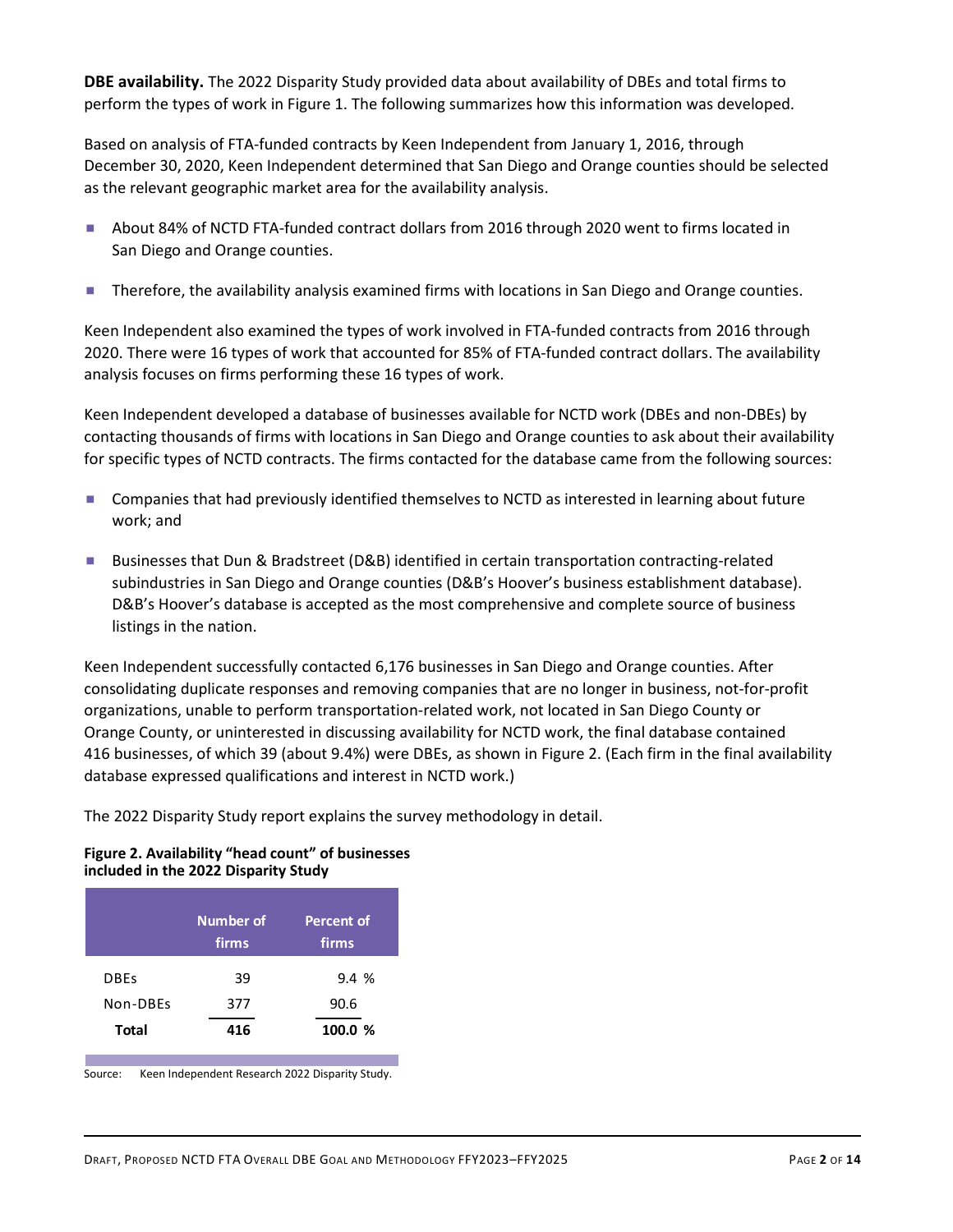DBE availability. The 2022 Disparity Study provided data about availability of DBEs and total firms to perform the types of work in Figure 1. The following summarizes how this information was developed.

Based on analysis of FTA-funded contracts by Keen Independent from January 1, 2016, through December 30, 2020, Keen Independent determined that San Diego and Orange counties should be selected as the relevant geographic market area for the availability analysis.

- About 84% of NCTD FTA-funded contract dollars from 2016 through 2020 went to firms located in San Diego and Orange counties.
- **Therefore, the availability analysis examined firms with locations in San Diego and Orange counties.**

Keen Independent also examined the types of work involved in FTA-funded contracts from 2016 through 2020. There were 16 types of work that accounted for 85% of FTA-funded contract dollars. The availability analysis focuses on firms performing these 16 types of work.

Keen Independent developed a database of businesses available for NCTD work (DBEs and non-DBEs) by contacting thousands of firms with locations in San Diego and Orange counties to ask about their availability for specific types of NCTD contracts. The firms contacted for the database came from the following sources:

- Companies that had previously identified themselves to NCTD as interested in learning about future work; and
- Businesses that Dun & Bradstreet (D&B) identified in certain transportation contracting-related subindustries in San Diego and Orange counties (D&B's Hoover's business establishment database). D&B's Hoover's database is accepted as the most comprehensive and complete source of business listings in the nation.

Keen Independent successfully contacted 6,176 businesses in San Diego and Orange counties. After consolidating duplicate responses and removing companies that are no longer in business, not-for-profit organizations, unable to perform transportation-related work, not located in San Diego County or Orange County, or uninterested in discussing availability for NCTD work, the final database contained 416 businesses, of which 39 (about 9.4%) were DBEs, as shown in Figure 2. (Each firm in the final availability database expressed qualifications and interest in NCTD work.) Source: To dealing to the control of the most control of the source: To business<br>
D&B's Hoover's database is accepted as the most comprehensive and complete source of business<br>
listings in the nation.<br>
Reen Independent suc Iistings in the nation.<br>
In Independent successfully contacted 6,176 businesses in San Diego and Orange counties. After<br>
solidating duplicate responses and removing companies that are no longer in business, not-for-profit<br> Independent successfully contacted 6,176 businesses in San Diego and Orange counties. After<br>olidating duplicate responses and removing companies that are no longer in business, not-for-profit<br>nizations, unable to perform t

The 2022 Disparity Study report explains the survey methodology in detail.

#### Figure 2. Availability "head count" of businesses included in the 2022 Disparity Study

|              | Number of<br>firms | <b>Percent of</b><br>firms |
|--------------|--------------------|----------------------------|
| <b>DBEs</b>  | 39                 | 9.4%                       |
| Non-DBEs     | 377                | 90.6                       |
| <b>Total</b> | 416                | 100.0 %                    |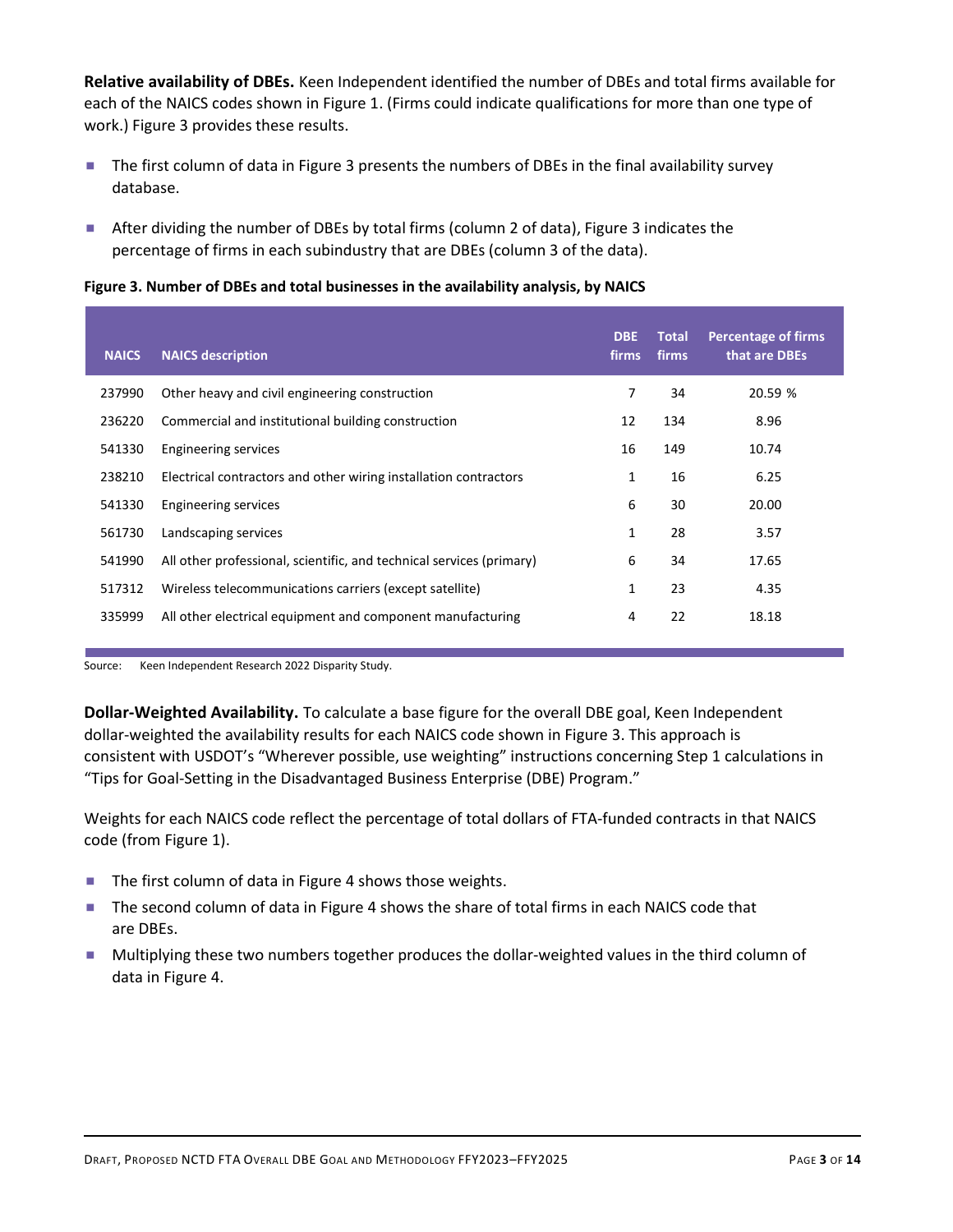- The first column of data in Figure 3 presents the numbers of DBEs in the final availability survey database.
- After dividing the number of DBEs by total firms (column 2 of data), Figure 3 indicates the percentage of firms in each subindustry that are DBEs (column 3 of the data).

#### Figure 3. Number of DBEs and total businesses in the availability analysis, by NAICS

| database.    | each of the NAICS codes shown in Figure 1. (Firms could indicate qualifications for more than one type of<br>work.) Figure 3 provides these results.<br>The first column of data in Figure 3 presents the numbers of DBEs in the final availability survey<br>After dividing the number of DBEs by total firms (column 2 of data), Figure 3 indicates the<br>percentage of firms in each subindustry that are DBEs (column 3 of the data). |                     |                       |                                             |
|--------------|--------------------------------------------------------------------------------------------------------------------------------------------------------------------------------------------------------------------------------------------------------------------------------------------------------------------------------------------------------------------------------------------------------------------------------------------|---------------------|-----------------------|---------------------------------------------|
|              |                                                                                                                                                                                                                                                                                                                                                                                                                                            |                     |                       |                                             |
|              |                                                                                                                                                                                                                                                                                                                                                                                                                                            |                     |                       |                                             |
|              |                                                                                                                                                                                                                                                                                                                                                                                                                                            |                     |                       |                                             |
|              | Figure 3. Number of DBEs and total businesses in the availability analysis, by NAICS                                                                                                                                                                                                                                                                                                                                                       |                     |                       |                                             |
| <b>NAICS</b> | <b>NAICS description</b>                                                                                                                                                                                                                                                                                                                                                                                                                   | <b>DBE</b><br>firms | <b>Total</b><br>firms | <b>Percentage of firms</b><br>that are DBEs |
| 237990       | Other heavy and civil engineering construction                                                                                                                                                                                                                                                                                                                                                                                             | $\overline{7}$      | 34                    | 20.59 %                                     |
| 236220       | Commercial and institutional building construction                                                                                                                                                                                                                                                                                                                                                                                         | 12                  | 134                   | 8.96                                        |
| 541330       | <b>Engineering services</b>                                                                                                                                                                                                                                                                                                                                                                                                                | 16                  | 149                   | 10.74                                       |
| 238210       | Electrical contractors and other wiring installation contractors                                                                                                                                                                                                                                                                                                                                                                           | 1                   | 16                    | 6.25                                        |
| 541330       | <b>Engineering services</b>                                                                                                                                                                                                                                                                                                                                                                                                                | 6                   | 30                    | 20.00                                       |
| 561730       | Landscaping services                                                                                                                                                                                                                                                                                                                                                                                                                       | 1                   | 28                    | 3.57                                        |
| 541990       | All other professional, scientific, and technical services (primary)                                                                                                                                                                                                                                                                                                                                                                       | 6                   | 34                    | 17.65                                       |
| 517312       | Wireless telecommunications carriers (except satellite)                                                                                                                                                                                                                                                                                                                                                                                    | 1                   | 23                    | 4.35                                        |
| 335999       | All other electrical equipment and component manufacturing                                                                                                                                                                                                                                                                                                                                                                                 | 4                   | 22                    | 18.18                                       |

Dollar-Weighted Availability. To calculate a base figure for the overall DBE goal, Keen Independent dollar-weighted the availability results for each NAICS code shown in Figure 3. This approach is consistent with USDOT's "Wherever possible, use weighting" instructions concerning Step 1 calculations in "Tips for Goal-Setting in the Disadvantaged Business Enterprise (DBE) Program."

Weights for each NAICS code reflect the percentage of total dollars of FTA-funded contracts in that NAICS code (from Figure 1).

- The first column of data in Figure 4 shows those weights.
- The second column of data in Figure 4 shows the share of total firms in each NAICS code that are DBEs.
- **Multiplying these two numbers together produces the dollar-weighted values in the third column of** data in Figure 4.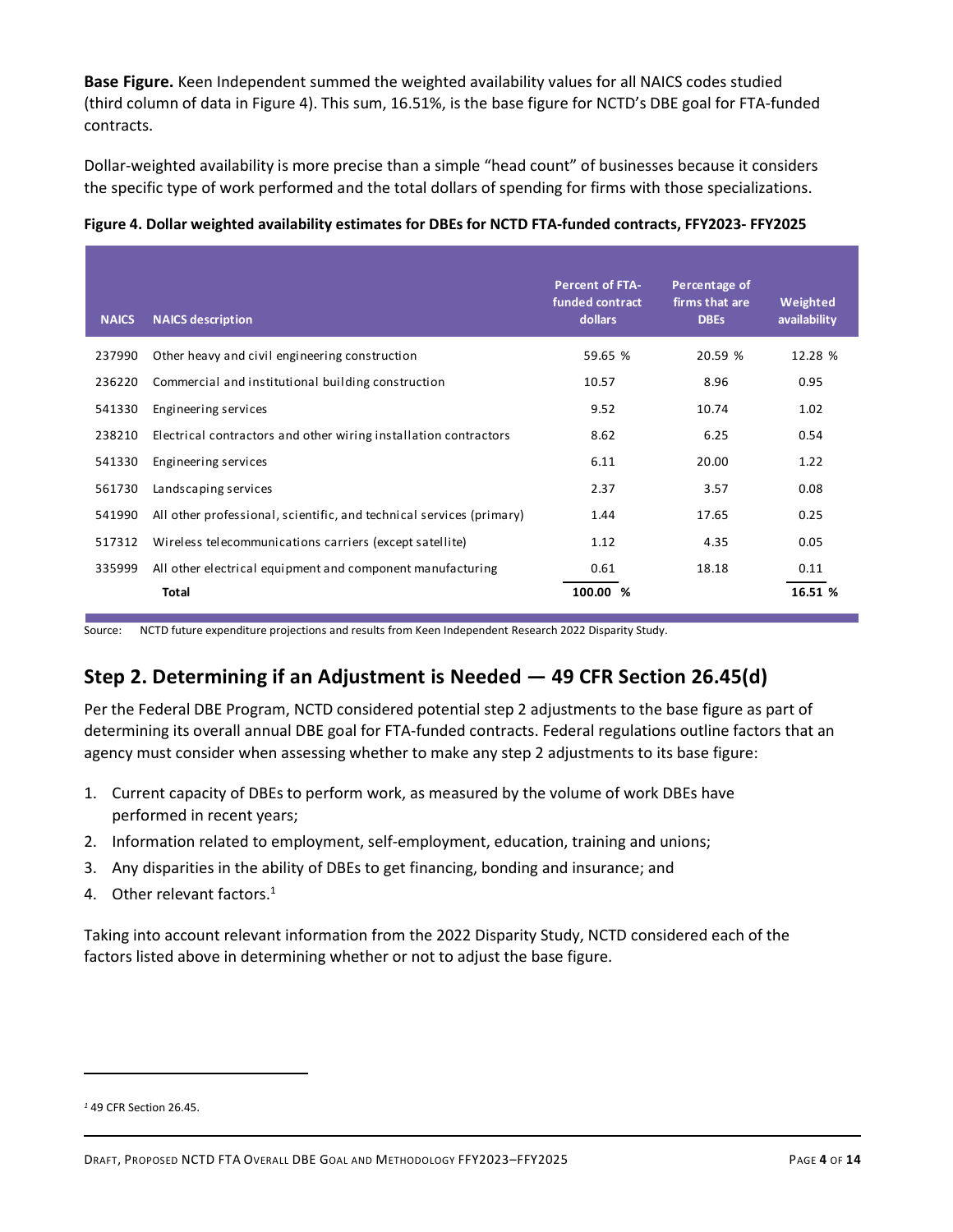|              | (third column of data in Figure 4). This sum, 16.51%, is the base figure for NCTD's DBE goal for FTA-funded<br>contracts.                                                                                                 |                                                      |                                                |                          |
|--------------|---------------------------------------------------------------------------------------------------------------------------------------------------------------------------------------------------------------------------|------------------------------------------------------|------------------------------------------------|--------------------------|
|              | Dollar-weighted availability is more precise than a simple "head count" of businesses because it considers<br>the specific type of work performed and the total dollars of spending for firms with those specializations. |                                                      |                                                |                          |
|              | Figure 4. Dollar weighted availability estimates for DBEs for NCTD FTA-funded contracts, FFY2023- FFY2025                                                                                                                 |                                                      |                                                |                          |
| <b>NAICS</b> | <b>NAICS description</b>                                                                                                                                                                                                  | <b>Percent of FTA-</b><br>funded contract<br>dollars | Percentage of<br>firms that are<br><b>DBEs</b> | Weighted<br>availability |
| 237990       | Other heavy and civil engineering construction                                                                                                                                                                            | 59.65 %                                              | 20.59 %                                        | 12.28 %                  |
| 236220       | Commercial and institutional building construction                                                                                                                                                                        | 10.57                                                | 8.96                                           | 0.95                     |
| 541330       | Engineering services                                                                                                                                                                                                      | 9.52                                                 | 10.74                                          | 1.02                     |
| 238210       | Electrical contractors and other wiring installation contractors                                                                                                                                                          | 8.62                                                 | 6.25                                           | 0.54                     |
| 541330       | Engineering services                                                                                                                                                                                                      | 6.11                                                 | 20.00                                          | 1.22                     |
| 561730       | Landscaping services                                                                                                                                                                                                      | 2.37                                                 | 3.57                                           | 0.08                     |
|              |                                                                                                                                                                                                                           | 1.44                                                 | 17.65                                          | 0.25                     |
| 541990       | All other professional, scientific, and technical services (primary)                                                                                                                                                      |                                                      |                                                |                          |
| 517312       | Wireless telecommunications carriers (except satellite)                                                                                                                                                                   | 1.12                                                 | 4.35                                           | 0.05                     |
| 335999       | All other electrical equipment and component manufacturing                                                                                                                                                                | 0.61                                                 | 18.18                                          | 0.11                     |

## Step 2. Determining if an Adjustment is Needed — 49 CFR Section 26.45(d)

Per the Federal DBE Program, NCTD considered potential step 2 adjustments to the base figure as part of determining its overall annual DBE goal for FTA-funded contracts. Federal regulations outline factors that an agency must consider when assessing whether to make any step 2 adjustments to its base figure:

- 1. Current capacity of DBEs to perform work, as measured by the volume of work DBEs have performed in recent years;
- 2. Information related to employment, self-employment, education, training and unions;
- 3. Any disparities in the ability of DBEs to get financing, bonding and insurance; and
- 4. Other relevant factors.<sup>1</sup>

Taking into account relevant information from the 2022 Disparity Study, NCTD considered each of the factors listed above in determining whether or not to adjust the base figure.

<sup>1</sup> 49 CFR Section 26.45.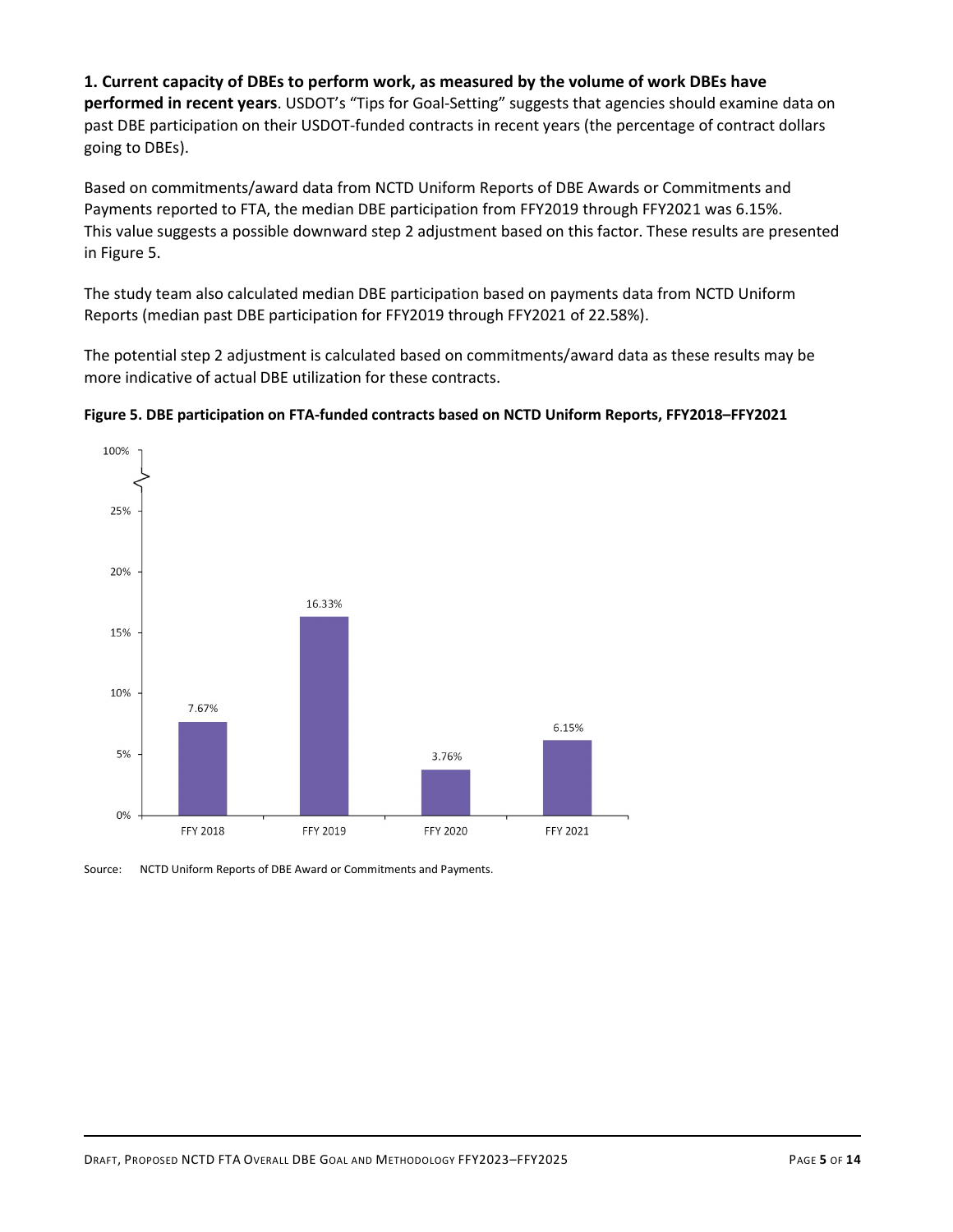1. Current capacity of DBEs to perform work, as measured by the volume of work DBEs have performed in recent years. USDOT's "Tips for Goal-Setting" suggests that agencies should examine data on past DBE participation on their USDOT-funded contracts in recent years (the percentage of contract dollars going to DBEs).

Based on commitments/award data from NCTD Uniform Reports of DBE Awards or Commitments and Payments reported to FTA, the median DBE participation from FFY2019 through FFY2021 was 6.15%. This value suggests a possible downward step 2 adjustment based on this factor. These results are presented in Figure 5.

The study team also calculated median DBE participation based on payments data from NCTD Uniform Reports (median past DBE participation for FFY2019 through FFY2021 of 22.58%).

The potential step 2 adjustment is calculated based on commitments/award data as these results may be more indicative of actual DBE utilization for these contracts.





Source: NCTD Uniform Reports of DBE Award or Commitments and Payments.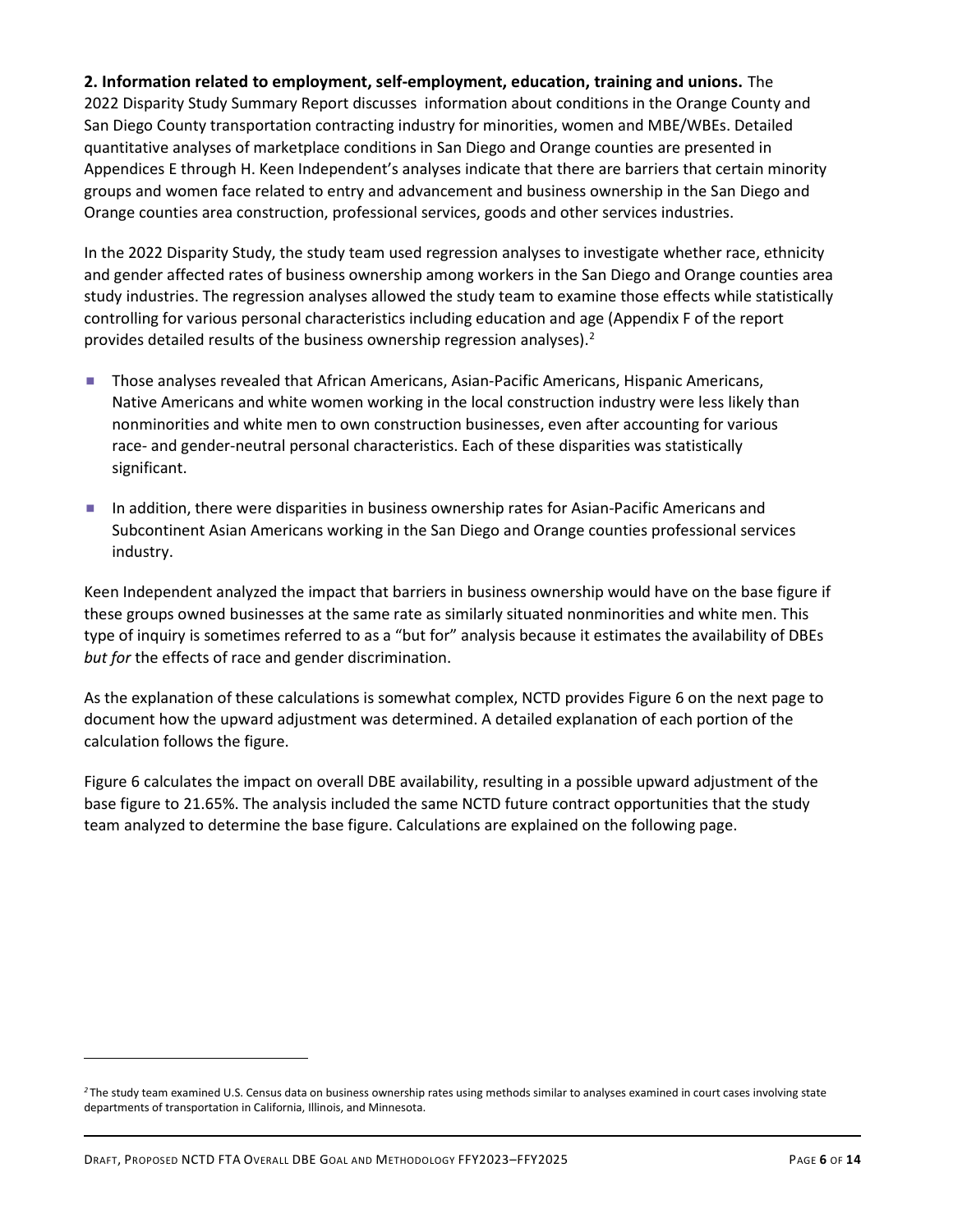2. Information related to employment, self-employment, education, training and unions. The 2022 Disparity Study Summary Report discusses information about conditions in the Orange County and San Diego County transportation contracting industry for minorities, women and MBE/WBEs. Detailed quantitative analyses of marketplace conditions in San Diego and Orange counties are presented in Appendices E through H. Keen Independent's analyses indicate that there are barriers that certain minority groups and women face related to entry and advancement and business ownership in the San Diego and Orange counties area construction, professional services, goods and other services industries.

In the 2022 Disparity Study, the study team used regression analyses to investigate whether race, ethnicity and gender affected rates of business ownership among workers in the San Diego and Orange counties area study industries. The regression analyses allowed the study team to examine those effects while statistically controlling for various personal characteristics including education and age (Appendix F of the report provides detailed results of the business ownership regression analyses). $2$ 

- **Those analyses revealed that African Americans, Asian-Pacific Americans, Hispanic Americans,** Native Americans and white women working in the local construction industry were less likely than nonminorities and white men to own construction businesses, even after accounting for various race- and gender-neutral personal characteristics. Each of these disparities was statistically significant.
- In addition, there were disparities in business ownership rates for Asian-Pacific Americans and Subcontinent Asian Americans working in the San Diego and Orange counties professional services industry.

Keen Independent analyzed the impact that barriers in business ownership would have on the base figure if these groups owned businesses at the same rate as similarly situated nonminorities and white men. This type of inquiry is sometimes referred to as a "but for" analysis because it estimates the availability of DBEs but for the effects of race and gender discrimination.

As the explanation of these calculations is somewhat complex, NCTD provides Figure 6 on the next page to document how the upward adjustment was determined. A detailed explanation of each portion of the calculation follows the figure.

Figure 6 calculates the impact on overall DBE availability, resulting in a possible upward adjustment of the base figure to 21.65%. The analysis included the same NCTD future contract opportunities that the study team analyzed to determine the base figure. Calculations are explained on the following page.

<sup>&</sup>lt;sup>2</sup>The study team examined U.S. Census data on business ownership rates using methods similar to analyses examined in court cases involving state departments of transportation in California, Illinois, and Minnesota.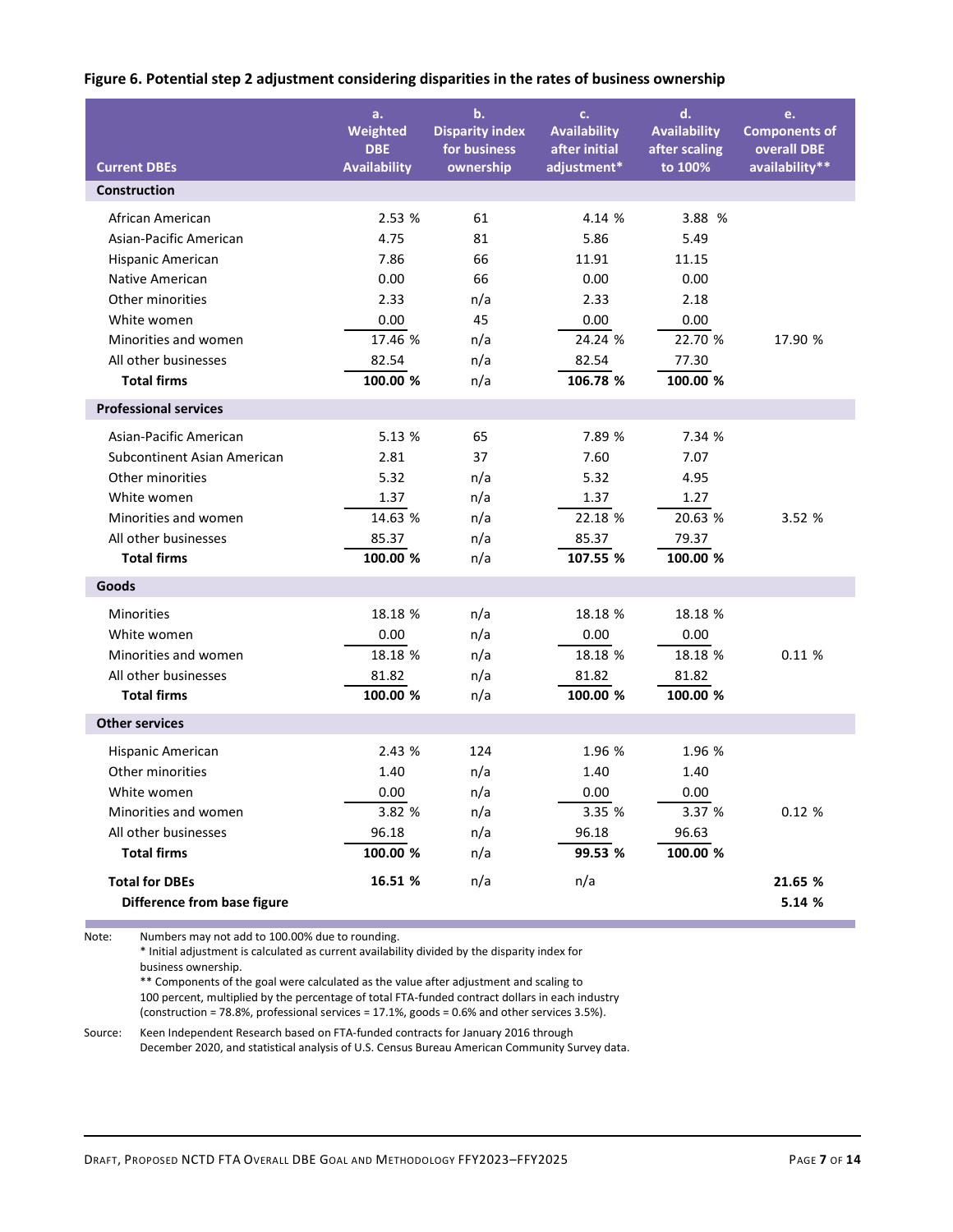|  |  |  | Figure 6. Potential step 2 adjustment considering disparities in the rates of business ownership |  |
|--|--|--|--------------------------------------------------------------------------------------------------|--|
|--|--|--|--------------------------------------------------------------------------------------------------|--|

|                                            |                              | Figure 6. Potential step 2 adjustment considering disparities in the rates of business ownership |                                                     |                                            |                                           |
|--------------------------------------------|------------------------------|--------------------------------------------------------------------------------------------------|-----------------------------------------------------|--------------------------------------------|-------------------------------------------|
|                                            | a.<br>Weighted<br><b>DBE</b> | $\mathbf{b}$ .<br><b>Disparity index</b><br>for business                                         | $C_{\star}$<br><b>Availability</b><br>after initial | d.<br><b>Availability</b><br>after scaling | e.<br><b>Components of</b><br>overall DBE |
| <b>Current DBEs</b>                        | <b>Availability</b>          | ownership                                                                                        | adjustment*                                         | to 100%                                    | availability**                            |
| Construction                               |                              |                                                                                                  |                                                     |                                            |                                           |
|                                            |                              |                                                                                                  |                                                     |                                            |                                           |
| African American<br>Asian-Pacific American | 2.53 %<br>4.75               | 61<br>81                                                                                         | 4.14 %<br>5.86                                      | 3.88 %<br>5.49                             |                                           |
| Hispanic American                          | 7.86                         | 66                                                                                               | 11.91                                               | 11.15                                      |                                           |
| Native American                            | 0.00                         | 66                                                                                               | 0.00                                                | 0.00                                       |                                           |
| Other minorities                           | 2.33                         | n/a                                                                                              | 2.33                                                | 2.18                                       |                                           |
| White women                                | 0.00                         | 45                                                                                               | 0.00                                                | 0.00                                       |                                           |
| Minorities and women                       | 17.46 %                      | n/a                                                                                              | 24.24 %                                             | 22.70 %                                    | 17.90 %                                   |
| All other businesses                       | 82.54                        | n/a                                                                                              | 82.54                                               | 77.30                                      |                                           |
| <b>Total firms</b>                         | 100.00 %                     | n/a                                                                                              | 106.78 %                                            | 100.00 %                                   |                                           |
| <b>Professional services</b>               |                              |                                                                                                  |                                                     |                                            |                                           |
|                                            |                              |                                                                                                  |                                                     |                                            |                                           |
| Asian-Pacific American                     | 5.13 %                       | 65                                                                                               | 7.89 %                                              | 7.34 %                                     |                                           |
| Subcontinent Asian American                | 2.81                         | 37                                                                                               | 7.60                                                | 7.07                                       |                                           |
| Other minorities                           | 5.32                         | n/a                                                                                              | 5.32                                                | 4.95                                       |                                           |
| White women                                | 1.37                         | n/a                                                                                              | 1.37                                                | 1.27                                       |                                           |
| Minorities and women                       | 14.63 %                      | n/a                                                                                              | 22.18 %                                             | 20.63 %                                    | 3.52 %                                    |
| All other businesses<br><b>Total firms</b> | 85.37<br>100.00 %            | n/a                                                                                              | 85.37<br>107.55 %                                   | 79.37<br>100.00 %                          |                                           |
|                                            |                              | n/a                                                                                              |                                                     |                                            |                                           |
| Goods                                      |                              |                                                                                                  |                                                     |                                            |                                           |
| Minorities                                 | 18.18 %                      | n/a                                                                                              | 18.18 %                                             | 18.18 %                                    |                                           |
| White women                                | 0.00                         | n/a                                                                                              | 0.00                                                | 0.00                                       |                                           |
| Minorities and women                       | 18.18 %                      | n/a                                                                                              | 18.18 %                                             | 18.18 %                                    | 0.11%                                     |
| All other businesses                       | 81.82                        | n/a                                                                                              | 81.82                                               | 81.82                                      |                                           |
| <b>Total firms</b>                         | 100.00 %                     | n/a                                                                                              | 100.00 %                                            | 100.00 %                                   |                                           |
| <b>Other services</b>                      |                              |                                                                                                  |                                                     |                                            |                                           |
| Hispanic American                          | 2.43 %                       | 124                                                                                              | 1.96 %                                              | 1.96 %                                     |                                           |
| Other minorities                           | 1.40                         | n/a                                                                                              | 1.40                                                | 1.40                                       |                                           |
| White women                                | 0.00                         | n/a                                                                                              | 0.00                                                | 0.00                                       |                                           |
| Minorities and women                       | 3.82 %                       | n/a                                                                                              | 3.35 %                                              | 3.37 %                                     | 0.12%                                     |
| All other businesses                       | 96.18                        | n/a                                                                                              | 96.18                                               | 96.63                                      |                                           |
| <b>Total firms</b>                         | 100.00 %                     | n/a                                                                                              | 99.53 %                                             | 100.00 %                                   |                                           |
|                                            |                              |                                                                                                  |                                                     |                                            |                                           |
| <b>Total for DBEs</b>                      | 16.51 %                      | n/a                                                                                              | n/a                                                 |                                            | 21.65 %<br>5.14 %                         |
| Difference from base figure                |                              |                                                                                                  |                                                     |                                            |                                           |

Source: Keen Independent Research based on FTA-funded contracts for January 2016 through December 2020, and statistical analysis of U.S. Census Bureau American Community Survey data.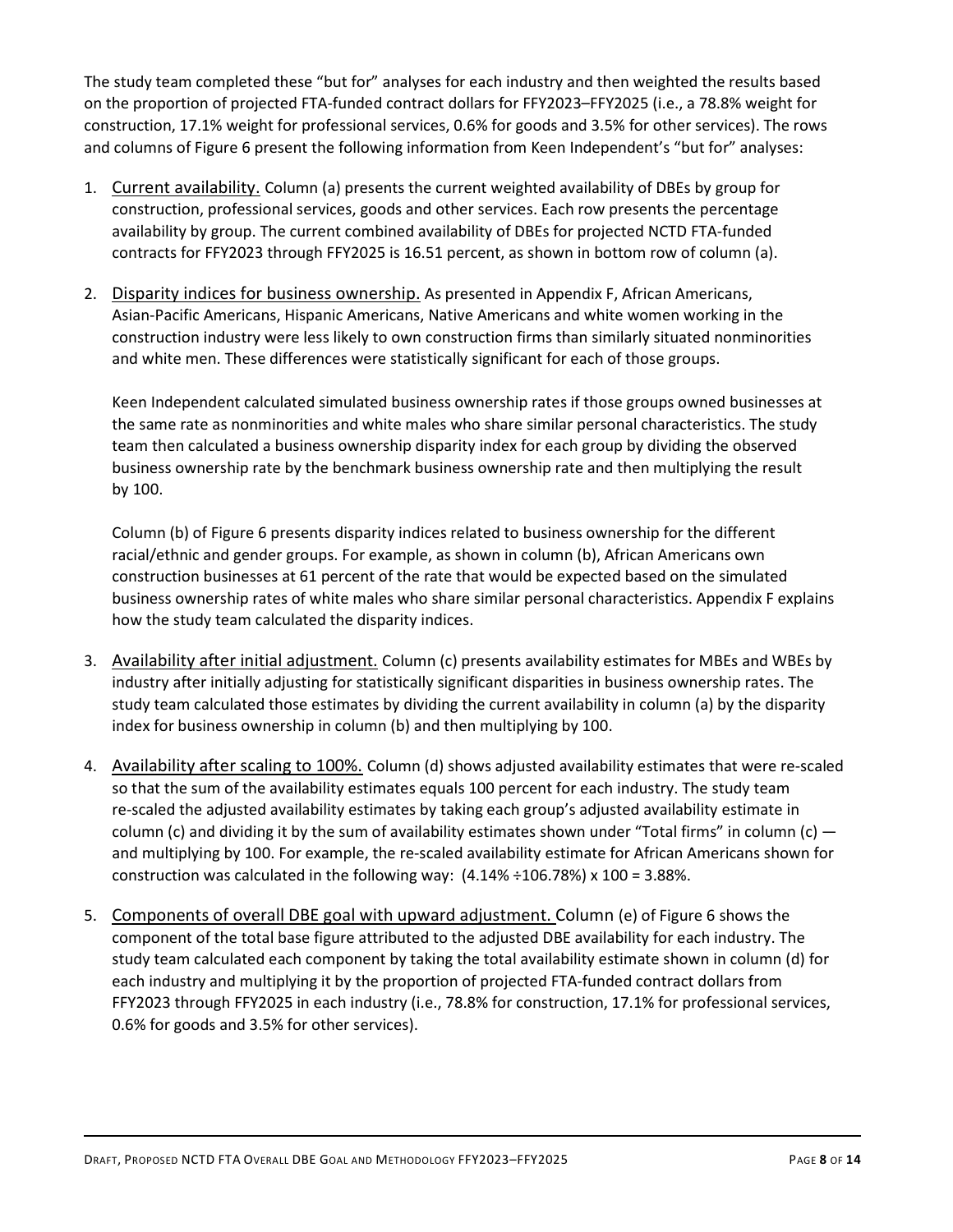The study team completed these "but for" analyses for each industry and then weighted the results based on the proportion of projected FTA-funded contract dollars for FFY2023–FFY2025 (i.e., a 78.8% weight for construction, 17.1% weight for professional services, 0.6% for goods and 3.5% for other services). The rows and columns of Figure 6 present the following information from Keen Independent's "but for" analyses:

- 1. Current availability. Column (a) presents the current weighted availability of DBEs by group for construction, professional services, goods and other services. Each row presents the percentage availability by group. The current combined availability of DBEs for projected NCTD FTA-funded contracts for FFY2023 through FFY2025 is 16.51 percent, as shown in bottom row of column (a).
- 2. Disparity indices for business ownership. As presented in Appendix F, African Americans, Asian-Pacific Americans, Hispanic Americans, Native Americans and white women working in the construction industry were less likely to own construction firms than similarly situated nonminorities and white men. These differences were statistically significant for each of those groups.

Keen Independent calculated simulated business ownership rates if those groups owned businesses at the same rate as nonminorities and white males who share similar personal characteristics. The study team then calculated a business ownership disparity index for each group by dividing the observed business ownership rate by the benchmark business ownership rate and then multiplying the result by 100.

Column (b) of Figure 6 presents disparity indices related to business ownership for the different racial/ethnic and gender groups. For example, as shown in column (b), African Americans own construction businesses at 61 percent of the rate that would be expected based on the simulated business ownership rates of white males who share similar personal characteristics. Appendix F explains how the study team calculated the disparity indices.

- 3. Availability after initial adjustment. Column (c) presents availability estimates for MBEs and WBEs by industry after initially adjusting for statistically significant disparities in business ownership rates. The study team calculated those estimates by dividing the current availability in column (a) by the disparity index for business ownership in column (b) and then multiplying by 100.
- 4. Availability after scaling to 100%. Column (d) shows adjusted availability estimates that were re-scaled so that the sum of the availability estimates equals 100 percent for each industry. The study team re-scaled the adjusted availability estimates by taking each group's adjusted availability estimate in column (c) and dividing it by the sum of availability estimates shown under "Total firms" in column (c)  $$ and multiplying by 100. For example, the re-scaled availability estimate for African Americans shown for construction was calculated in the following way:  $(4.14\% \div 106.78\%) \times 100 = 3.88\%$ .
- 5. Components of overall DBE goal with upward adjustment. Column (e) of Figure 6 shows the component of the total base figure attributed to the adjusted DBE availability for each industry. The study team calculated each component by taking the total availability estimate shown in column (d) for each industry and multiplying it by the proportion of projected FTA-funded contract dollars from FFY2023 through FFY2025 in each industry (i.e., 78.8% for construction, 17.1% for professional services, 0.6% for goods and 3.5% for other services).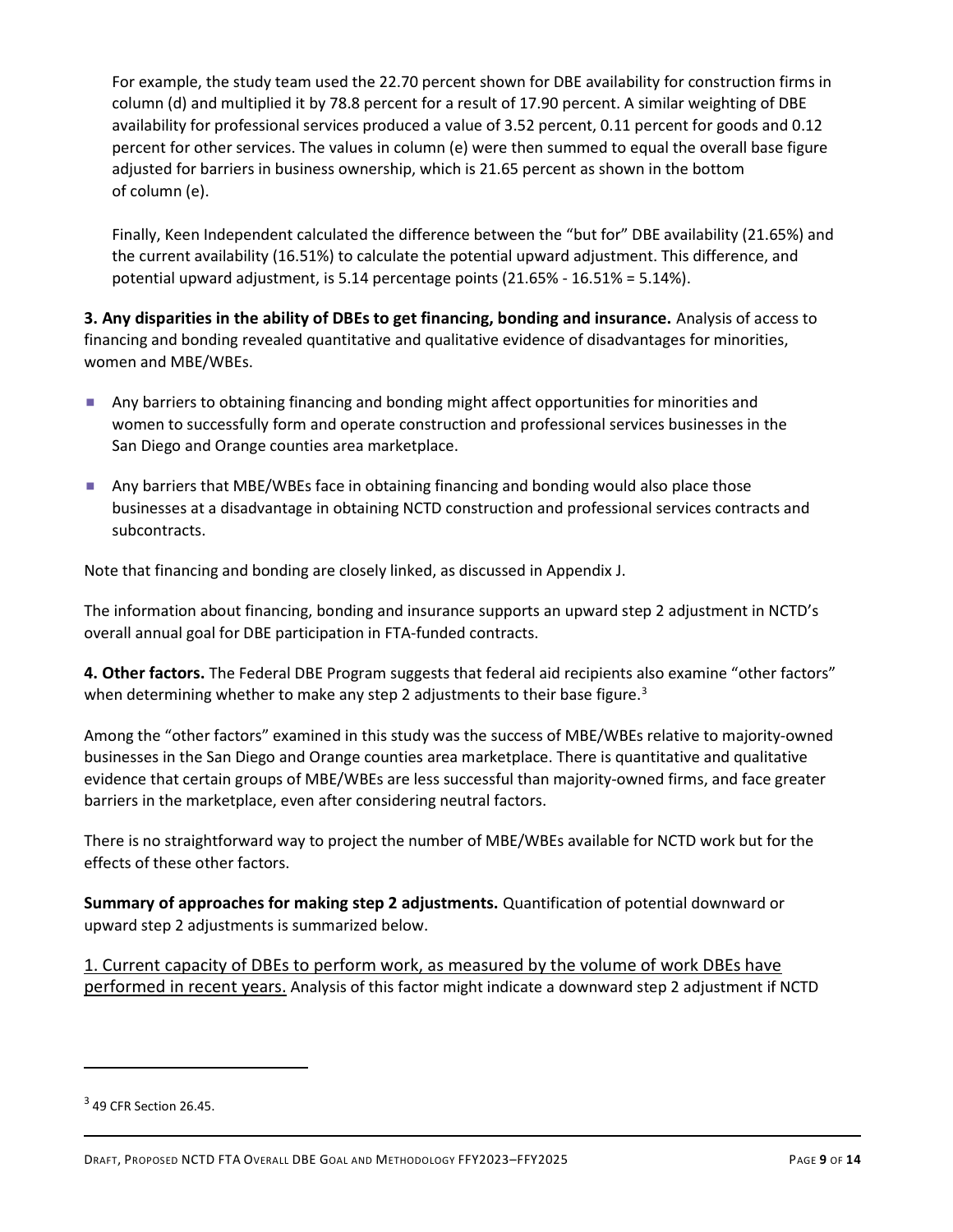For example, the study team used the 22.70 percent shown for DBE availability for construction firms in column (d) and multiplied it by 78.8 percent for a result of 17.90 percent. A similar weighting of DBE availability for professional services produced a value of 3.52 percent, 0.11 percent for goods and 0.12 percent for other services. The values in column (e) were then summed to equal the overall base figure adjusted for barriers in business ownership, which is 21.65 percent as shown in the bottom of column (e).

Finally, Keen Independent calculated the difference between the "but for" DBE availability (21.65%) and the current availability (16.51%) to calculate the potential upward adjustment. This difference, and potential upward adjustment, is 5.14 percentage points (21.65% - 16.51% = 5.14%).

3. Any disparities in the ability of DBEs to get financing, bonding and insurance. Analysis of access to financing and bonding revealed quantitative and qualitative evidence of disadvantages for minorities, women and MBE/WBEs.

- Any barriers to obtaining financing and bonding might affect opportunities for minorities and women to successfully form and operate construction and professional services businesses in the San Diego and Orange counties area marketplace.
- Any barriers that MBE/WBEs face in obtaining financing and bonding would also place those businesses at a disadvantage in obtaining NCTD construction and professional services contracts and subcontracts.

Note that financing and bonding are closely linked, as discussed in Appendix J.

The information about financing, bonding and insurance supports an upward step 2 adjustment in NCTD's overall annual goal for DBE participation in FTA-funded contracts.

4. Other factors. The Federal DBE Program suggests that federal aid recipients also examine "other factors" when determining whether to make any step 2 adjustments to their base figure.<sup>3</sup>

Among the "other factors" examined in this study was the success of MBE/WBEs relative to majority-owned businesses in the San Diego and Orange counties area marketplace. There is quantitative and qualitative evidence that certain groups of MBE/WBEs are less successful than majority-owned firms, and face greater barriers in the marketplace, even after considering neutral factors.

There is no straightforward way to project the number of MBE/WBEs available for NCTD work but for the effects of these other factors.

Summary of approaches for making step 2 adjustments. Quantification of potential downward or upward step 2 adjustments is summarized below.

1. Current capacity of DBEs to perform work, as measured by the volume of work DBEs have performed in recent years. Analysis of this factor might indicate a downward step 2 adjustment if NCTD

 $3$  49 CFR Section 26.45.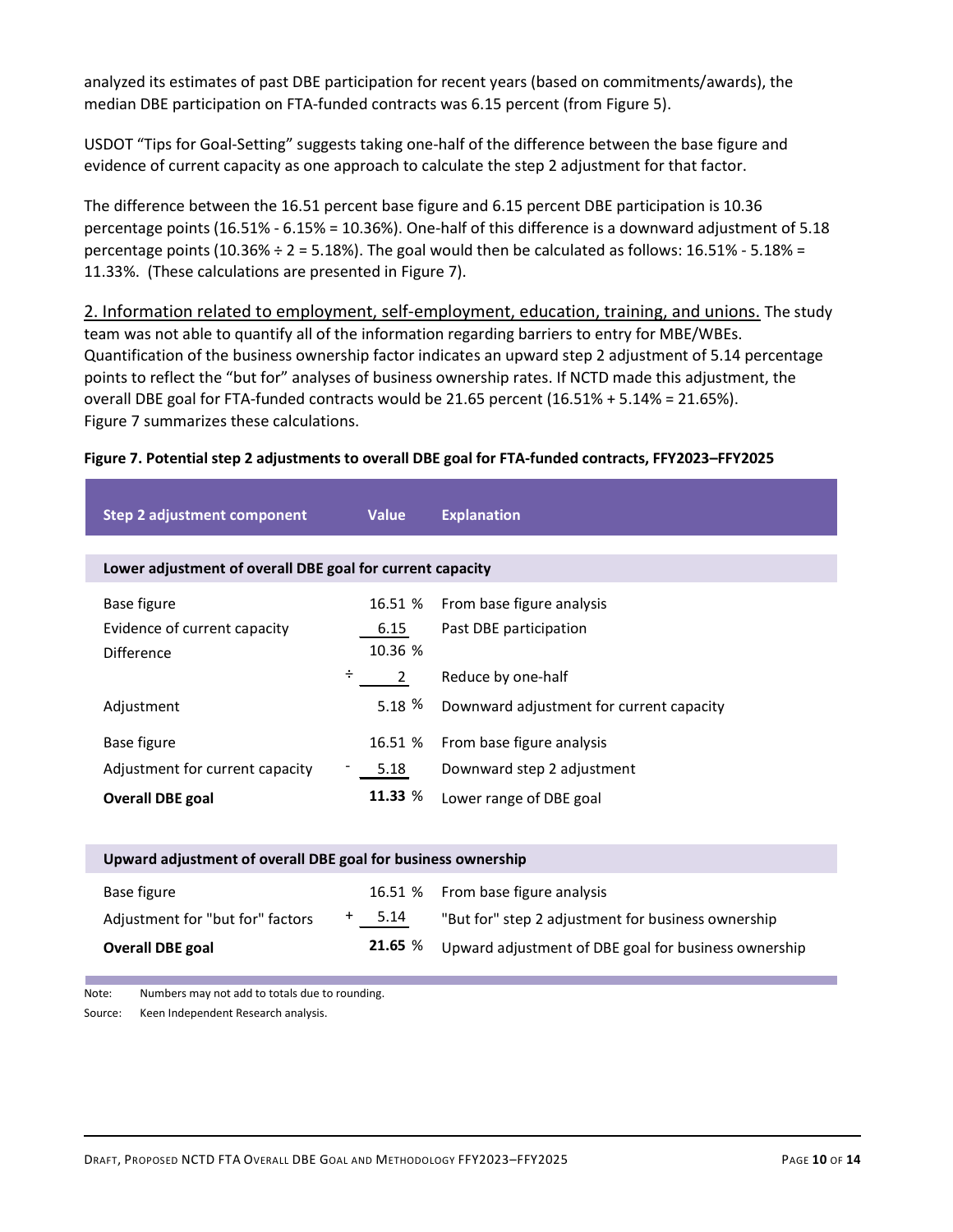analyzed its estimates of past DBE participation for recent years (based on commitments/awards), the median DBE participation on FTA-funded contracts was 6.15 percent (from Figure 5).

#### Figure 7. Potential step 2 adjustments to overall DBE goal for FTA-funded contracts, FFY2023–FFY2025

| JSDOT "Tips for Goal-Setting" suggests taking one-half of the difference between the base figure and<br>vidence of current capacity as one approach to calculate the step 2 adjustment for that factor. |                                                                                                     |                                                                                                                                                                                                                                                                                                                                                                                                                                                                                                                                                                    |                                                                                                                                                                                                                                                                                                                             |  |  |  |  |  |  |
|---------------------------------------------------------------------------------------------------------------------------------------------------------------------------------------------------------|-----------------------------------------------------------------------------------------------------|--------------------------------------------------------------------------------------------------------------------------------------------------------------------------------------------------------------------------------------------------------------------------------------------------------------------------------------------------------------------------------------------------------------------------------------------------------------------------------------------------------------------------------------------------------------------|-----------------------------------------------------------------------------------------------------------------------------------------------------------------------------------------------------------------------------------------------------------------------------------------------------------------------------|--|--|--|--|--|--|
|                                                                                                                                                                                                         | 11.33%. (These calculations are presented in Figure 7).                                             |                                                                                                                                                                                                                                                                                                                                                                                                                                                                                                                                                                    | The difference between the 16.51 percent base figure and 6.15 percent DBE participation is 10.36<br>ercentage points (16.51% - 6.15% = 10.36%). One-half of this difference is a downward adjustment of 5.18<br>bercentage points (10.36% $\div$ 2 = 5.18%). The goal would then be calculated as follows: 16.51% - 5.18% = |  |  |  |  |  |  |
|                                                                                                                                                                                                         | igure 7. Potential step 2 adjustments to overall DBE goal for FTA-funded contracts, FFY2023-FFY2025 | 2. Information related to employment, self-employment, education, training, and unions. The study<br>eam was not able to quantify all of the information regarding barriers to entry for MBE/WBEs.<br>Quantification of the business ownership factor indicates an upward step 2 adjustment of 5.14 percentage<br>boints to reflect the "but for" analyses of business ownership rates. If NCTD made this adjustment, the<br>overall DBE goal for FTA-funded contracts would be 21.65 percent (16.51% + 5.14% = 21.65%).<br>igure 7 summarizes these calculations. |                                                                                                                                                                                                                                                                                                                             |  |  |  |  |  |  |
|                                                                                                                                                                                                         | <b>Step 2 adjustment component</b>                                                                  | <b>Value</b>                                                                                                                                                                                                                                                                                                                                                                                                                                                                                                                                                       | <b>Explanation</b>                                                                                                                                                                                                                                                                                                          |  |  |  |  |  |  |
|                                                                                                                                                                                                         |                                                                                                     |                                                                                                                                                                                                                                                                                                                                                                                                                                                                                                                                                                    |                                                                                                                                                                                                                                                                                                                             |  |  |  |  |  |  |
|                                                                                                                                                                                                         | Lower adjustment of overall DBE goal for current capacity                                           |                                                                                                                                                                                                                                                                                                                                                                                                                                                                                                                                                                    |                                                                                                                                                                                                                                                                                                                             |  |  |  |  |  |  |
|                                                                                                                                                                                                         | Base figure<br>Evidence of current capacity                                                         | 16.51 %<br>6.15<br>10.36 %                                                                                                                                                                                                                                                                                                                                                                                                                                                                                                                                         | From base figure analysis<br>Past DBE participation                                                                                                                                                                                                                                                                         |  |  |  |  |  |  |
|                                                                                                                                                                                                         | Difference                                                                                          | ÷<br>$2^{\circ}$                                                                                                                                                                                                                                                                                                                                                                                                                                                                                                                                                   | Reduce by one-half                                                                                                                                                                                                                                                                                                          |  |  |  |  |  |  |
|                                                                                                                                                                                                         | Adjustment<br>Base figure                                                                           | 5.18%<br>16.51 %                                                                                                                                                                                                                                                                                                                                                                                                                                                                                                                                                   | Downward adjustment for current capacity<br>From base figure analysis                                                                                                                                                                                                                                                       |  |  |  |  |  |  |
|                                                                                                                                                                                                         | Adjustment for current capacity<br><b>Overall DBE goal</b>                                          | 5.18<br>11.33 %                                                                                                                                                                                                                                                                                                                                                                                                                                                                                                                                                    | Downward step 2 adjustment<br>Lower range of DBE goal                                                                                                                                                                                                                                                                       |  |  |  |  |  |  |
|                                                                                                                                                                                                         | Upward adjustment of overall DBE goal for business ownership                                        |                                                                                                                                                                                                                                                                                                                                                                                                                                                                                                                                                                    |                                                                                                                                                                                                                                                                                                                             |  |  |  |  |  |  |

| <b>Overall DBE goal</b>                                      | 21.65%  | Upward adjustment of DBE goal for business ownership |  |  |  |  |  |  |
|--------------------------------------------------------------|---------|------------------------------------------------------|--|--|--|--|--|--|
| Adjustment for "but for" factors                             | 5.14    | "But for" step 2 adjustment for business ownership   |  |  |  |  |  |  |
| Base figure                                                  | 16.51 % | From base figure analysis                            |  |  |  |  |  |  |
| Upward adjustment of overall DBE goal for business ownership |         |                                                      |  |  |  |  |  |  |

Note: Numbers may not add to totals due to rounding.

Source: Keen Independent Research analysis.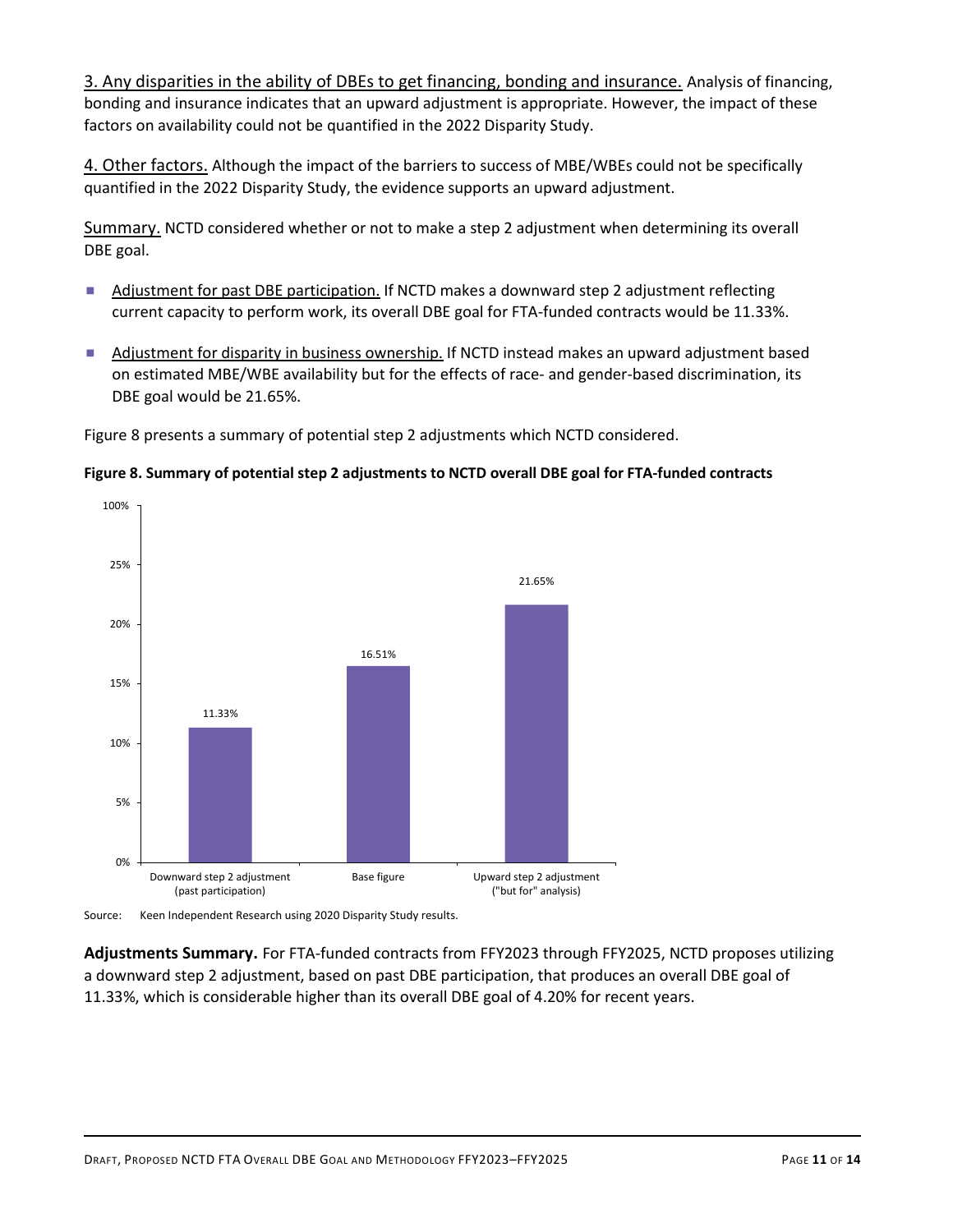3. Any disparities in the ability of DBEs to get financing, bonding and insurance. Analysis of financing, bonding and insurance indicates that an upward adjustment is appropriate. However, the impact of these factors on availability could not be quantified in the 2022 Disparity Study.

4. Other factors. Although the impact of the barriers to success of MBE/WBEs could not be specifically quantified in the 2022 Disparity Study, the evidence supports an upward adjustment.

Summary. NCTD considered whether or not to make a step 2 adjustment when determining its overall DBE goal.

- Adjustment for past DBE participation. If NCTD makes a downward step 2 adjustment reflecting current capacity to perform work, its overall DBE goal for FTA-funded contracts would be 11.33%.
- Adjustment for disparity in business ownership. If NCTD instead makes an upward adjustment based on estimated MBE/WBE availability but for the effects of race- and gender-based discrimination, its DBE goal would be 21.65%.

Figure 8 presents a summary of potential step 2 adjustments which NCTD considered.





Source: Keen Independent Research using 2020 Disparity Study results.

Adjustments Summary. For FTA-funded contracts from FFY2023 through FFY2025, NCTD proposes utilizing a downward step 2 adjustment, based on past DBE participation, that produces an overall DBE goal of 11.33%, which is considerable higher than its overall DBE goal of 4.20% for recent years.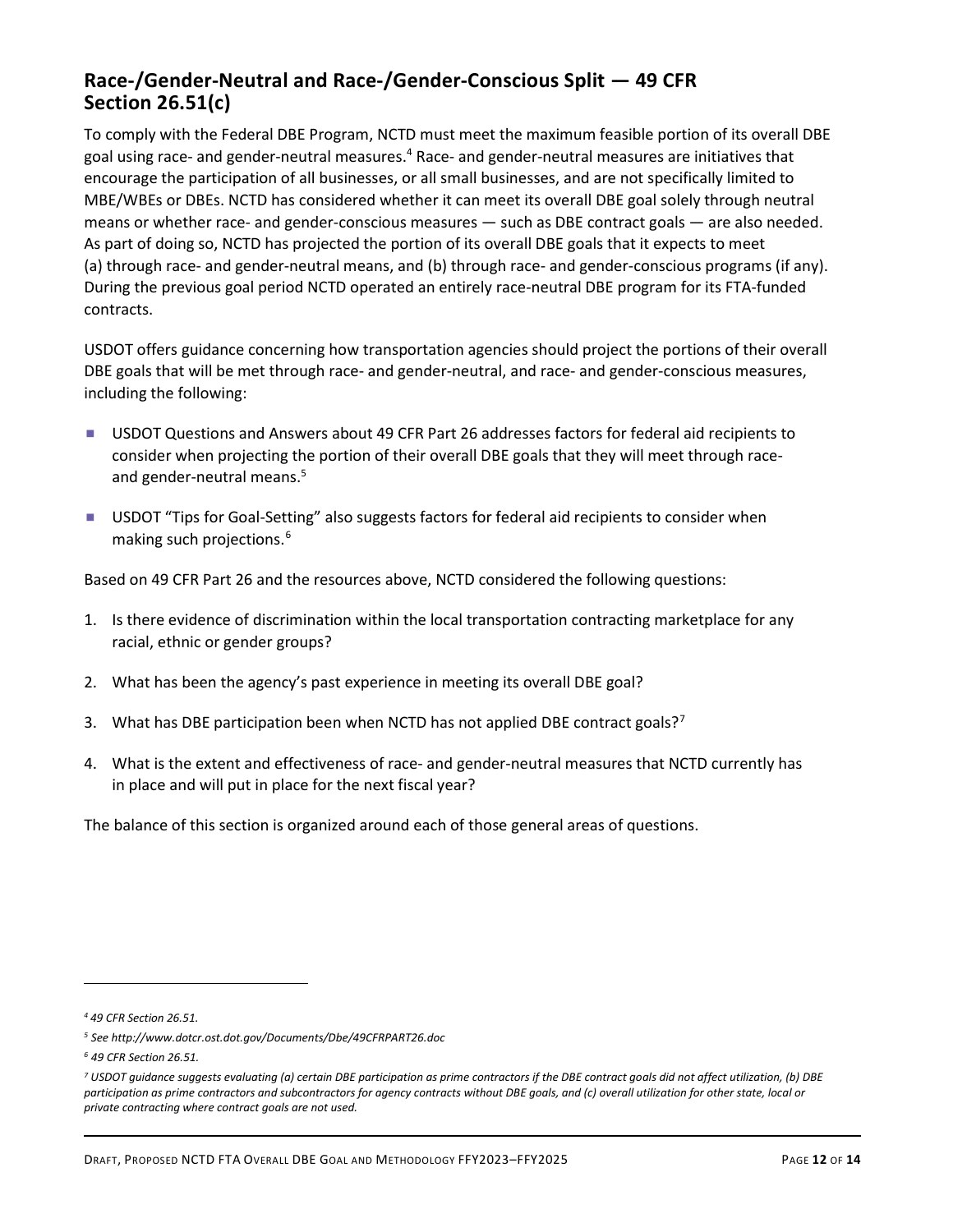### Race-/Gender-Neutral and Race-/Gender-Conscious Split — 49 CFR Section 26.51(c)

To comply with the Federal DBE Program, NCTD must meet the maximum feasible portion of its overall DBE goal using race- and gender-neutral measures.<sup>4</sup> Race- and gender-neutral measures are initiatives that encourage the participation of all businesses, or all small businesses, and are not specifically limited to MBE/WBEs or DBEs. NCTD has considered whether it can meet its overall DBE goal solely through neutral means or whether race- and gender-conscious measures — such as DBE contract goals — are also needed. As part of doing so, NCTD has projected the portion of its overall DBE goals that it expects to meet (a) through race- and gender-neutral means, and (b) through race- and gender-conscious programs (if any). During the previous goal period NCTD operated an entirely race-neutral DBE program for its FTA-funded contracts.

USDOT offers guidance concerning how transportation agencies should project the portions of their overall DBE goals that will be met through race- and gender-neutral, and race- and gender-conscious measures, including the following:

- USDOT Questions and Answers about 49 CFR Part 26 addresses factors for federal aid recipients to consider when projecting the portion of their overall DBE goals that they will meet through raceand gender-neutral means.<sup>5</sup>
- **USDOT** "Tips for Goal-Setting" also suggests factors for federal aid recipients to consider when making such projections.<sup>6</sup>

Based on 49 CFR Part 26 and the resources above, NCTD considered the following questions:

- 1. Is there evidence of discrimination within the local transportation contracting marketplace for any racial, ethnic or gender groups?
- 2. What has been the agency's past experience in meeting its overall DBE goal?
- 3. What has DBE participation been when NCTD has not applied DBE contract goals?<sup>7</sup>
- 4. What is the extent and effectiveness of race- and gender-neutral measures that NCTD currently has in place and will put in place for the next fiscal year?

The balance of this section is organized around each of those general areas of questions.

<sup>4</sup> 49 CFR Section 26.51.

<sup>5</sup> See http://www.dotcr.ost.dot.gov/Documents/Dbe/49CFRPART26.doc

<sup>6</sup> 49 CFR Section 26.51.

<sup>7</sup> USDOT guidance suggests evaluating (a) certain DBE participation as prime contractors if the DBE contract goals did not affect utilization, (b) DBE participation as prime contractors and subcontractors for agency contracts without DBE goals, and (c) overall utilization for other state, local or private contracting where contract goals are not used.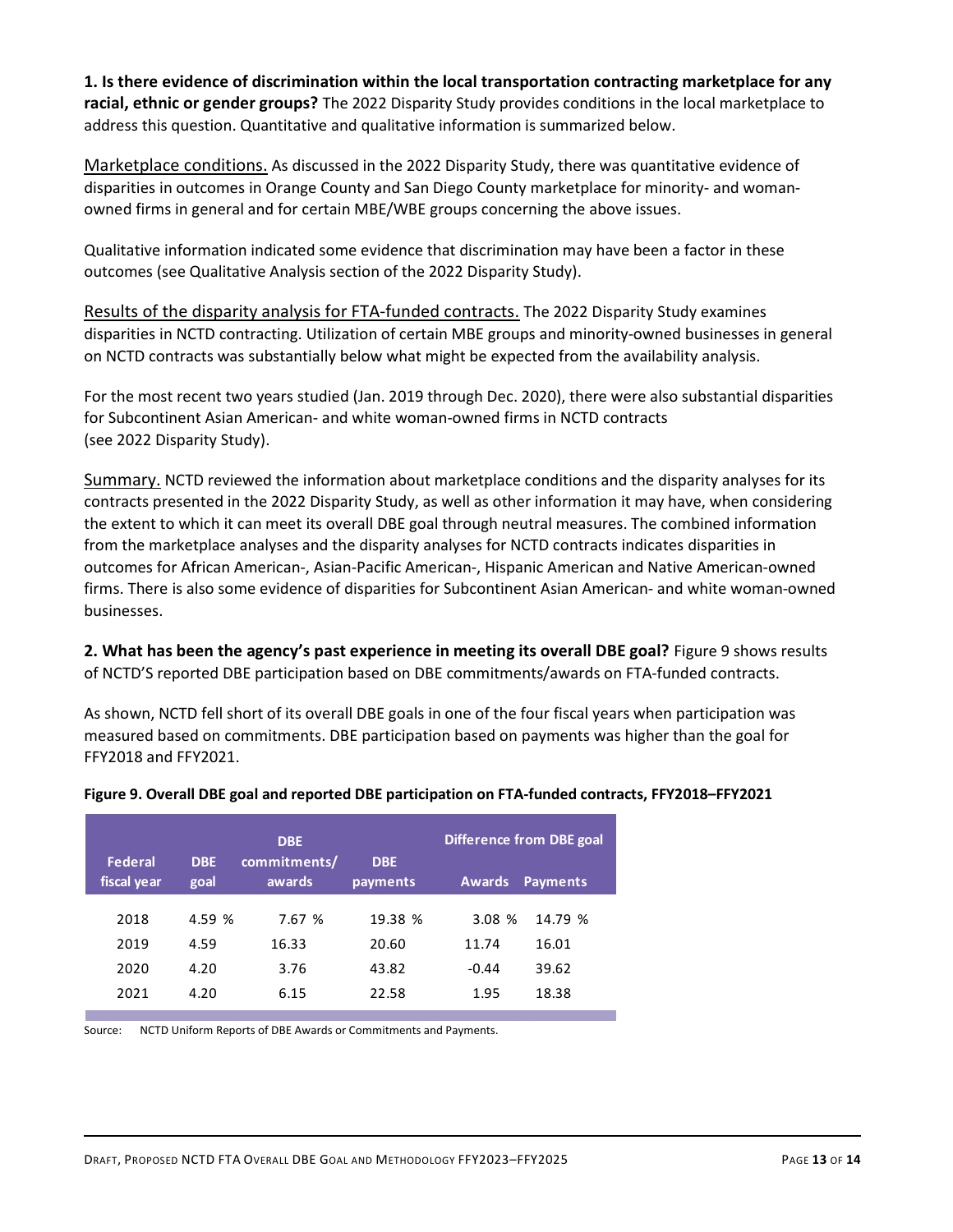1. Is there evidence of discrimination within the local transportation contracting marketplace for any racial, ethnic or gender groups? The 2022 Disparity Study provides conditions in the local marketplace to address this question. Quantitative and qualitative information is summarized below.

Marketplace conditions. As discussed in the 2022 Disparity Study, there was quantitative evidence of disparities in outcomes in Orange County and San Diego County marketplace for minority- and womanowned firms in general and for certain MBE/WBE groups concerning the above issues.

Qualitative information indicated some evidence that discrimination may have been a factor in these outcomes (see Qualitative Analysis section of the 2022 Disparity Study).

Results of the disparity analysis for FTA-funded contracts. The 2022 Disparity Study examines disparities in NCTD contracting. Utilization of certain MBE groups and minority-owned businesses in general on NCTD contracts was substantially below what might be expected from the availability analysis.

For the most recent two years studied (Jan. 2019 through Dec. 2020), there were also substantial disparities for Subcontinent Asian American- and white woman-owned firms in NCTD contracts (see 2022 Disparity Study).

Summary. NCTD reviewed the information about marketplace conditions and the disparity analyses for its contracts presented in the 2022 Disparity Study, as well as other information it may have, when considering the extent to which it can meet its overall DBE goal through neutral measures. The combined information from the marketplace analyses and the disparity analyses for NCTD contracts indicates disparities in outcomes for African American-, Asian-Pacific American-, Hispanic American and Native American-owned firms. There is also some evidence of disparities for Subcontinent Asian American- and white woman-owned businesses.

| businesses.                   |                    | from the marketplace analyses and the disparity analyses for NCTD contracts indicates disparities in<br>outcomes for African American-, Asian-Pacific American-, Hispanic American and Native American-owned<br>firms. There is also some evidence of disparities for Subcontinent Asian American- and white woman-owned |                        |         |                                                    |
|-------------------------------|--------------------|--------------------------------------------------------------------------------------------------------------------------------------------------------------------------------------------------------------------------------------------------------------------------------------------------------------------------|------------------------|---------|----------------------------------------------------|
|                               |                    | 2. What has been the agency's past experience in meeting its overall DBE goal? Figure 9 shows results<br>of NCTD'S reported DBE participation based on DBE commitments/awards on FTA-funded contracts.                                                                                                                   |                        |         |                                                    |
| FFY2018 and FFY2021.          |                    | As shown, NCTD fell short of its overall DBE goals in one of the four fiscal years when participation was<br>measured based on commitments. DBE participation based on payments was higher than the goal for                                                                                                             |                        |         |                                                    |
|                               |                    | Figure 9. Overall DBE goal and reported DBE participation on FTA-funded contracts, FFY2018-FFY2021                                                                                                                                                                                                                       |                        |         |                                                    |
| <b>Federal</b><br>fiscal year | <b>DBE</b><br>goal | <b>DBE</b><br>commitments/<br>awards                                                                                                                                                                                                                                                                                     | <b>DBE</b><br>payments | Awards  | <b>Difference from DBE goal</b><br><b>Payments</b> |
| 2018                          | 4.59 %             | 7.67 %                                                                                                                                                                                                                                                                                                                   | 19.38 %                | 3.08 %  | 14.79 %                                            |
| 2019                          | 4.59               | 16.33                                                                                                                                                                                                                                                                                                                    | 20.60                  | 11.74   | 16.01                                              |
| 2020                          | 4.20               | 3.76                                                                                                                                                                                                                                                                                                                     | 43.82                  | $-0.44$ | 39.62                                              |

#### Figure 9. Overall DBE goal and reported DBE participation on FTA-funded contracts, FFY2018–FFY2021